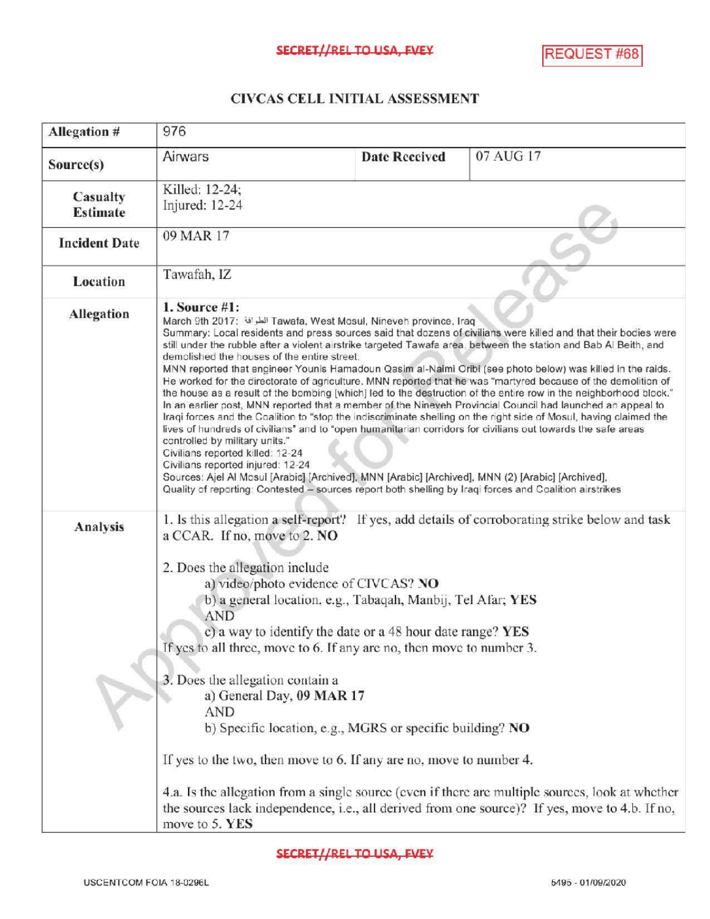## CIVCASCELLINITIALASSESSMENT

| Allegation #                | 976                                                                                                                                                                                                                                                                                                                                                                                                                                                                                                                                                                                                                                                                                                                                                                                                                                                                                                                                                                                                                                                                                                                                                                                                                                                                                                                                                                                                             |                      |           |  |
|-----------------------------|-----------------------------------------------------------------------------------------------------------------------------------------------------------------------------------------------------------------------------------------------------------------------------------------------------------------------------------------------------------------------------------------------------------------------------------------------------------------------------------------------------------------------------------------------------------------------------------------------------------------------------------------------------------------------------------------------------------------------------------------------------------------------------------------------------------------------------------------------------------------------------------------------------------------------------------------------------------------------------------------------------------------------------------------------------------------------------------------------------------------------------------------------------------------------------------------------------------------------------------------------------------------------------------------------------------------------------------------------------------------------------------------------------------------|----------------------|-----------|--|
| Source(s)                   | Airwars                                                                                                                                                                                                                                                                                                                                                                                                                                                                                                                                                                                                                                                                                                                                                                                                                                                                                                                                                                                                                                                                                                                                                                                                                                                                                                                                                                                                         | <b>Date Received</b> | 07 AUG 17 |  |
| Casualty<br><b>Estimate</b> | Killed: 12-24;<br>Injured: 12-24                                                                                                                                                                                                                                                                                                                                                                                                                                                                                                                                                                                                                                                                                                                                                                                                                                                                                                                                                                                                                                                                                                                                                                                                                                                                                                                                                                                |                      |           |  |
| <b>Incident Date</b>        | 09 MAR 17                                                                                                                                                                                                                                                                                                                                                                                                                                                                                                                                                                                                                                                                                                                                                                                                                                                                                                                                                                                                                                                                                                                                                                                                                                                                                                                                                                                                       |                      |           |  |
| <b>Location</b>             | Tawafah, IZ                                                                                                                                                                                                                                                                                                                                                                                                                                                                                                                                                                                                                                                                                                                                                                                                                                                                                                                                                                                                                                                                                                                                                                                                                                                                                                                                                                                                     |                      |           |  |
| Allegation                  | 1. Source $#1$ :<br>March 9th 2017: الطرافة Tawafa, West Mosul, Nineveh province, Iraq<br>Summary: Local residents and press sources said that dozens of civilians were killed and that their bodies were<br>still under the rubble after a violent airstrike targeted Tawafa area, between the station and Bab Al Beith, and<br>demolished the houses of the entire street.<br>MNN reported that engineer Younis Hamadoun Qasim al-Naimi Oribi (see photo below) was killed in the raids.<br>He worked for the directorate of agriculture. MNN reported that he was "martyred because of the demolition of<br>the house as a result of the bombing [which] led to the destruction of the entire row in the neighborhood block."<br>In an earlier post, MNN reported that a member of the Nineveh Provincial Council had launched an appeal to<br>Iraqi forces and the Coalition to "stop the indiscriminate shelling on the right side of Mosul, having claimed the<br>lives of hundreds of civilians" and to "open humanitarian corridors for civilians out towards the safe areas<br>controlled by military units."<br>Civilians reported killed: 12-24<br>Civilians reported injured: 12-24<br>Sources: Ajel Al Mosul [Arabic] [Archived], MNN [Arabic] [Archived], MNN (2) [Arabic] [Archived],<br>Quality of reporting: Contested - sources report both shelling by Iraqi forces and Coalition airstrikes |                      |           |  |
| <b>Analysis</b>             | 1. Is this allegation a self-report? If yes, add details of corroborating strike below and task<br>a CCAR. If no, move to 2. NO<br>2. Does the allegation include<br>a) video/photo evidence of CIVCAS? NO<br>b) a general location, e.g., Tabaqah, Manbij, Tel Afar; YES<br><b>AND</b><br>c) a way to identify the date or a 48 hour date range? YES<br>If yes to all three, move to 6. If any are no, then move to number 3.<br>3. Does the allegation contain a<br>a) General Day, 09 MAR 17<br><b>AND</b><br>b) Specific location, e.g., MGRS or specific building? NO<br>If yes to the two, then move to 6. If any are no, move to number 4.<br>4.a. Is the allegation from a single source (even if there are multiple sources, look at whether<br>the sources lack independence, i.e., all derived from one source)? If yes, move to 4.b. If no,<br>move to 5. YES                                                                                                                                                                                                                                                                                                                                                                                                                                                                                                                                       |                      |           |  |